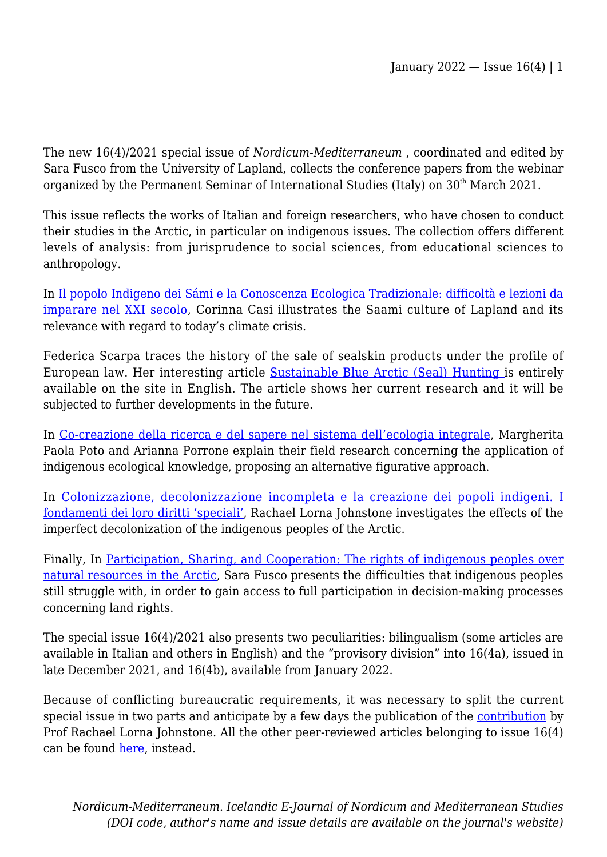The new 16(4)/2021 special issue of *Nordicum-Mediterraneum* , coordinated and edited by Sara Fusco from the University of Lapland, collects the conference papers from the webinar organized by the Permanent Seminar of International Studies (Italy) on 30<sup>th</sup> March 2021.

This issue reflects the works of Italian and foreign researchers, who have chosen to conduct their studies in the Arctic, in particular on indigenous issues. The collection offers different levels of analysis: from jurisprudence to social sciences, from educational sciences to anthropology.

In [Il popolo Indigeno dei Sámi e la Conoscenza Ecologica Tradizionale: difficoltà e lezioni da](https://nome.unak.is/wordpress/volume-16-no-4b-2022/new-article-double-blind-peer-review-volume-16-no-4b-2022/il-popolo-indigeno-dei-sami-e-la-conoscenza-ecologica-tradizionale-difficolta-e-lezioni-da-imparare-nel-xxi-secolo/) [imparare nel XXI secolo](https://nome.unak.is/wordpress/volume-16-no-4b-2022/new-article-double-blind-peer-review-volume-16-no-4b-2022/il-popolo-indigeno-dei-sami-e-la-conoscenza-ecologica-tradizionale-difficolta-e-lezioni-da-imparare-nel-xxi-secolo/), Corinna Casi illustrates the Saami culture of Lapland and its relevance with regard to today's climate crisis.

Federica Scarpa traces the history of the sale of sealskin products under the profile of European law. Her interesting article [Sustainable Blue Arctic \(Seal\) Hunting i](https://nome.unak.is/wordpress/volume-16-no-4b-2022/new-article-double-blind-peer-review-volume-16-no-4b-2022/sustainable-blue-arctic-seal-hunting/)s entirely available on the site in English. The article shows her current research and it will be subjected to further developments in the future.

In [Co-creazione della ricerca e del sapere nel sistema dell'ecologia integrale](https://nome.unak.is/wordpress/volume-16-no-4b-2022/new-article-double-blind-peer-review-volume-16-no-4b-2022/co-creazione-della-ricerca-e-del-sapere-nel-sistema-dellecologia-integrale/), Margherita Paola Poto and Arianna Porrone explain their field research concerning the application of indigenous ecological knowledge, proposing an alternative figurative approach.

In [Colonizzazione, decolonizzazione incompleta e la creazione dei popoli indigeni. I](https://nome.unak.is/wordpress/volume-16-no-4a-2021/article-double-blind-peer-review-volume-16-no-4-2021/colonizzazione-decolonizzazione-incompleta-e-la-creazione-dei-popoli-indigeni-i-fondamenti-dei-loro-diritti-speciali/) [fondamenti dei loro diritti 'speciali',](https://nome.unak.is/wordpress/volume-16-no-4a-2021/article-double-blind-peer-review-volume-16-no-4-2021/colonizzazione-decolonizzazione-incompleta-e-la-creazione-dei-popoli-indigeni-i-fondamenti-dei-loro-diritti-speciali/) Rachael Lorna Johnstone investigates the effects of the imperfect decolonization of the indigenous peoples of the Arctic.

Finally, In [Participation, Sharing, and Cooperation: The rights of indigenous peoples over](https://nome.unak.is/wordpress/volume-16-no-4b-2022/participation-sharing-and-cooperation-the-rights-of-indigenous-peoples-over-natural-resources-in-the-arctic/) [natural resources in the Arctic,](https://nome.unak.is/wordpress/volume-16-no-4b-2022/participation-sharing-and-cooperation-the-rights-of-indigenous-peoples-over-natural-resources-in-the-arctic/) Sara Fusco presents the difficulties that indigenous peoples still struggle with, in order to gain access to full participation in decision-making processes concerning land rights.

The special issue 16(4)/2021 also presents two peculiarities: bilingualism (some articles are available in Italian and others in English) and the "provisory division" into 16(4a), issued in late December 2021, and 16(4b), available from January 2022.

Because of conflicting bureaucratic requirements, it was necessary to split the current special issue in two parts and anticipate by a few days the publication of the [contribution](https://nome.unak.is/wordpress/volume-16-no-4a-2021/article-double-blind-peer-review-volume-16-no-4-2021/colonizzazione-decolonizzazione-incompleta-e-la-creazione-dei-popoli-indigeni-i-fondamenti-dei-loro-diritti-speciali/) by Prof Rachael Lorna Johnstone. All the other peer-reviewed articles belonging to issue 16(4) can be foun[d here,](https://nome.unak.is/wordpress/volume-16-no-4a-2021/article-double-blind-peer-review-volume-16-no-4-2021/colonizzazione-decolonizzazione-incompleta-e-la-creazione-dei-popoli-indigeni-i-fondamenti-dei-loro-diritti-speciali/) instead.

*Nordicum-Mediterraneum. Icelandic E-Journal of Nordicum and Mediterranean Studies (DOI code, author's name and issue details are available on the journal's website)*